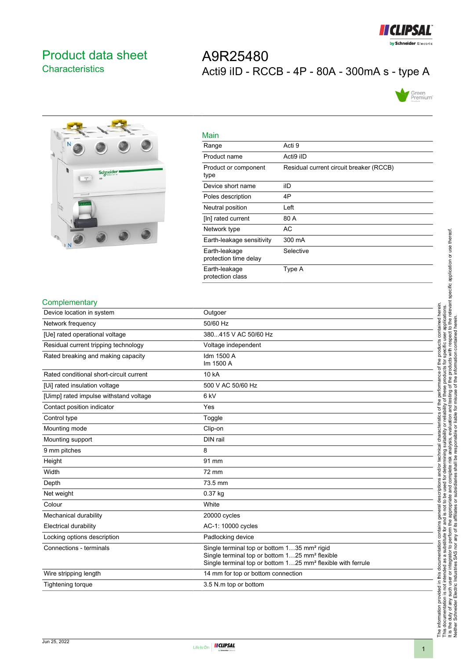

## <span id="page-0-0"></span>Product data sheet **Characteristics**

# A9R25480 Acti9 iID - RCCB - 4P - 80A - 300mA s - type A





| Main                                   |                                         |
|----------------------------------------|-----------------------------------------|
| Range                                  | Acti 9                                  |
| Product name                           | Acti9 iID                               |
| Product or component<br>type           | Residual current circuit breaker (RCCB) |
| Device short name                      | ilD                                     |
| Poles description                      | 4P                                      |
| Neutral position                       | Left                                    |
| [In] rated current                     | 80 A                                    |
| Network type                           | AC                                      |
| Earth-leakage sensitivity              | 300 mA                                  |
| Earth-leakage<br>protection time delay | Selective                               |
| Earth-leakage<br>protection class      | Type A                                  |

#### **Complementary**

| י יישוי יטו ייטו קו ייט                 |                                                                                                                                                                                                  |
|-----------------------------------------|--------------------------------------------------------------------------------------------------------------------------------------------------------------------------------------------------|
| Device location in system               | Outgoer                                                                                                                                                                                          |
| Network frequency                       | 50/60 Hz                                                                                                                                                                                         |
| [Ue] rated operational voltage          | 380415 V AC 50/60 Hz                                                                                                                                                                             |
| Residual current tripping technology    | Voltage independent                                                                                                                                                                              |
| Rated breaking and making capacity      | Idm 1500 A<br>Im 1500 A                                                                                                                                                                          |
| Rated conditional short-circuit current | 10 kA                                                                                                                                                                                            |
| [Ui] rated insulation voltage           | 500 V AC 50/60 Hz                                                                                                                                                                                |
| [Uimp] rated impulse withstand voltage  | 6 <sub>kV</sub>                                                                                                                                                                                  |
| Contact position indicator              | Yes                                                                                                                                                                                              |
| Control type                            | Toggle                                                                                                                                                                                           |
| Mounting mode                           | Clip-on                                                                                                                                                                                          |
| Mounting support                        | DIN rail                                                                                                                                                                                         |
| 9 mm pitches                            | 8                                                                                                                                                                                                |
| Height                                  | 91 mm                                                                                                                                                                                            |
| Width                                   | 72 mm                                                                                                                                                                                            |
| Depth                                   | 73.5 mm                                                                                                                                                                                          |
| Net weight                              | $0.37$ kg                                                                                                                                                                                        |
| Colour                                  | White                                                                                                                                                                                            |
| Mechanical durability                   | 20000 cycles                                                                                                                                                                                     |
| Electrical durability                   | AC-1: 10000 cycles                                                                                                                                                                               |
| Locking options description             | Padlocking device                                                                                                                                                                                |
| Connections - terminals                 | Single terminal top or bottom 135 mm <sup>2</sup> rigid<br>Single terminal top or bottom 125 mm <sup>2</sup> flexible<br>Single terminal top or bottom 125 mm <sup>2</sup> flexible with ferrule |
| Wire stripping length                   | 14 mm for top or bottom connection                                                                                                                                                               |
| <b>Tightening torque</b>                | 3.5 N m top or bottom                                                                                                                                                                            |
|                                         |                                                                                                                                                                                                  |